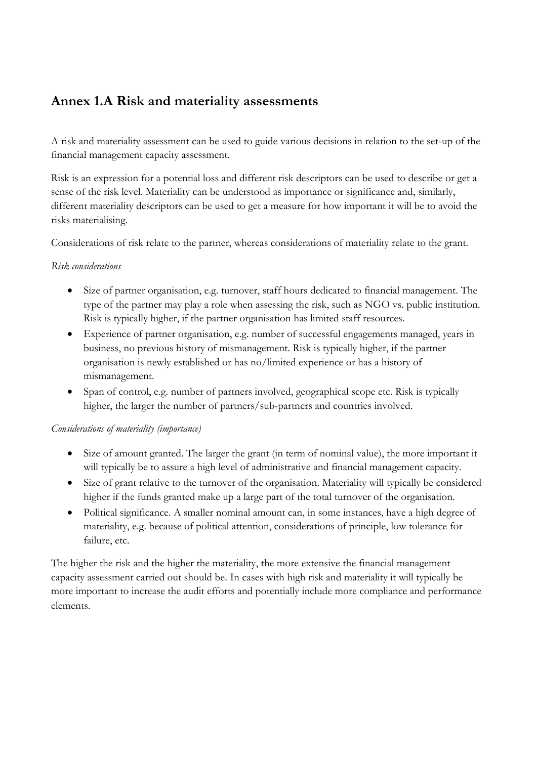## **Annex 1.A Risk and materiality assessments**

A risk and materiality assessment can be used to guide various decisions in relation to the set-up of the financial management capacity assessment.

Risk is an expression for a potential loss and different risk descriptors can be used to describe or get a sense of the risk level. Materiality can be understood as importance or significance and, similarly, different materiality descriptors can be used to get a measure for how important it will be to avoid the risks materialising.

Considerations of risk relate to the partner, whereas considerations of materiality relate to the grant.

## *Risk considerations*

- Size of partner organisation, e.g. turnover, staff hours dedicated to financial management. The type of the partner may play a role when assessing the risk, such as NGO vs. public institution. Risk is typically higher, if the partner organisation has limited staff resources.
- Experience of partner organisation, e.g. number of successful engagements managed, years in business, no previous history of mismanagement. Risk is typically higher, if the partner organisation is newly established or has no/limited experience or has a history of mismanagement.
- Span of control, e.g. number of partners involved, geographical scope etc. Risk is typically higher, the larger the number of partners/sub-partners and countries involved.

## *Considerations of materiality (importance)*

- Size of amount granted. The larger the grant (in term of nominal value), the more important it will typically be to assure a high level of administrative and financial management capacity.
- Size of grant relative to the turnover of the organisation. Materiality will typically be considered higher if the funds granted make up a large part of the total turnover of the organisation.
- Political significance. A smaller nominal amount can, in some instances, have a high degree of materiality, e.g. because of political attention, considerations of principle, low tolerance for failure, etc.

The higher the risk and the higher the materiality, the more extensive the financial management capacity assessment carried out should be. In cases with high risk and materiality it will typically be more important to increase the audit efforts and potentially include more compliance and performance elements.